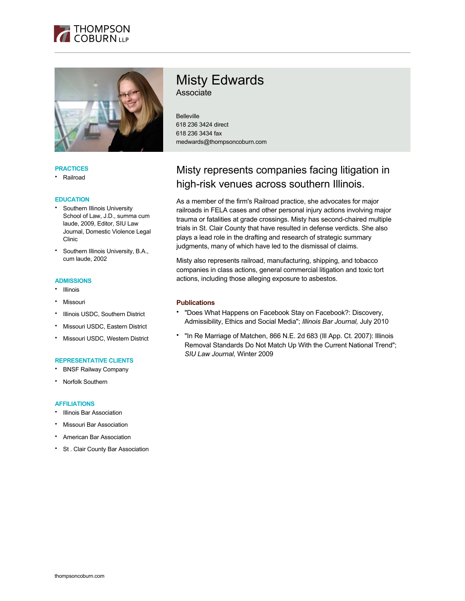



### **PRACTICES**

• Railroad

#### **EDUCATION**

- Southern Illinois University School of Law, J.D., summa cum laude, 2009, Editor, SIU Law Journal, Domestic Violence Legal Clinic
- Southern Illinois University, B.A., cum laude, 2002

### **ADMISSIONS**

- Illinois
- **Missouri**
- Illinois USDC, Southern District
- Missouri USDC, Eastern District
- Missouri USDC, Western District

### **REPRESENTATIVE CLIENTS**

- BNSF Railway Company
- Norfolk Southern

## **AFFILIATIONS**

- Illinois Bar Association
- Missouri Bar Association
- American Bar Association
- St . Clair County Bar Association

# Misty Edwards Associate

Belleville 618 236 3424 direct 618 236 3434 fax medwards@thompsoncoburn.com

# Misty represents companies facing litigation in high-risk venues across southern Illinois.

As a member of the firm's Railroad practice, she advocates for major railroads in FELA cases and other personal injury actions involving major trauma or fatalities at grade crossings. Misty has second-chaired multiple trials in St. Clair County that have resulted in defense verdicts. She also plays a lead role in the drafting and research of strategic summary judgments, many of which have led to the dismissal of claims.

Misty also represents railroad, manufacturing, shipping, and tobacco companies in class actions, general commercial litigation and toxic tort actions, including those alleging exposure to asbestos.

### **Publications**

- "Does What Happens on Facebook Stay on Facebook?: Discovery, Admissibility, Ethics and Social Media"; *Illinois Bar Journal,* July 2010
- "In Re Marriage of Matchen, 866 N.E. 2d 683 (Ill App. Ct. 2007): Illinois Removal Standards Do Not Match Up With the Current National Trend"; *SIU Law Journal,* Winter 2009